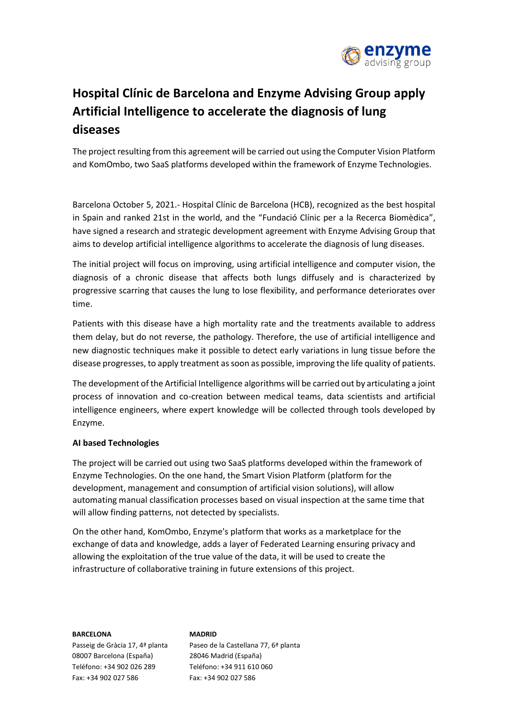

# **Hospital Clínic de Barcelona and Enzyme Advising Group apply Artificial Intelligence to accelerate the diagnosis of lung diseases**

The project resulting from this agreement will be carried out using the Computer Vision Platform and KomOmbo, two SaaS platforms developed within the framework of Enzyme Technologies.

Barcelona October 5, 2021.- Hospital Clínic de Barcelona (HCB), recognized as the best hospital in Spain and ranked 21st in the world, and the "Fundació Clínic per a la Recerca Biomèdica", have signed a research and strategic development agreement with Enzyme Advising Group that aims to develop artificial intelligence algorithms to accelerate the diagnosis of lung diseases.

The initial project will focus on improving, using artificial intelligence and computer vision, the diagnosis of a chronic disease that affects both lungs diffusely and is characterized by progressive scarring that causes the lung to lose flexibility, and performance deteriorates over time.

Patients with this disease have a high mortality rate and the treatments available to address them delay, but do not reverse, the pathology. Therefore, the use of artificial intelligence and new diagnostic techniques make it possible to detect early variations in lung tissue before the disease progresses, to apply treatment as soon as possible, improving the life quality of patients.

The development of the Artificial Intelligence algorithms will be carried out by articulating a joint process of innovation and co-creation between medical teams, data scientists and artificial intelligence engineers, where expert knowledge will be collected through tools developed by Enzyme.

# **AI based Technologies**

The project will be carried out using two SaaS platforms developed within the framework of Enzyme Technologies. On the one hand, the Smart Vision Platform (platform for the development, management and consumption of artificial vision solutions), will allow automating manual classification processes based on visual inspection at the same time that will allow finding patterns, not detected by specialists.

On the other hand, KomOmbo, Enzyme's platform that works as a marketplace for the exchange of data and knowledge, adds a layer of Federated Learning ensuring privacy and allowing the exploitation of the true value of the data, it will be used to create the infrastructure of collaborative training in future extensions of this project.

#### **BARCELONA**

Passeig de Gràcia 17, 4ª planta 08007 Barcelona (España) Teléfono: +34 902 026 289 Fax: +34 902 027 586

## **MADRID** Paseo de la Castellana 77, 6ª planta 28046 Madrid (España) Teléfono: +34 911 610 060 Fax: +34 902 027 586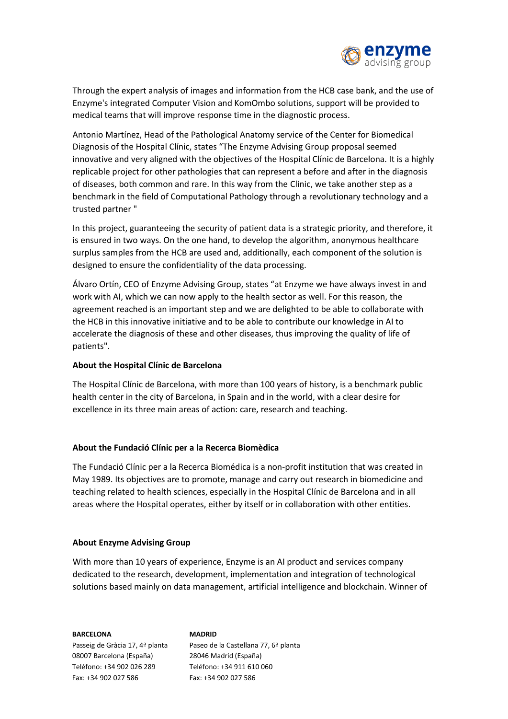

Through the expert analysis of images and information from the HCB case bank, and the use of Enzyme's integrated Computer Vision and KomOmbo solutions, support will be provided to medical teams that will improve response time in the diagnostic process.

Antonio Martínez, Head of the Pathological Anatomy service of the Center for Biomedical Diagnosis of the Hospital Clínic, states "The Enzyme Advising Group proposal seemed innovative and very aligned with the objectives of the Hospital Clínic de Barcelona. It is a highly replicable project for other pathologies that can represent a before and after in the diagnosis of diseases, both common and rare. In this way from the Clinic, we take another step as a benchmark in the field of Computational Pathology through a revolutionary technology and a trusted partner "

In this project, guaranteeing the security of patient data is a strategic priority, and therefore, it is ensured in two ways. On the one hand, to develop the algorithm, anonymous healthcare surplus samples from the HCB are used and, additionally, each component of the solution is designed to ensure the confidentiality of the data processing.

Álvaro Ortín, CEO of Enzyme Advising Group, states "at Enzyme we have always invest in and work with AI, which we can now apply to the health sector as well. For this reason, the agreement reached is an important step and we are delighted to be able to collaborate with the HCB in this innovative initiative and to be able to contribute our knowledge in AI to accelerate the diagnosis of these and other diseases, thus improving the quality of life of patients".

# **About the Hospital Clínic de Barcelona**

The Hospital Clínic de Barcelona, with more than 100 years of history, is a benchmark public health center in the city of Barcelona, in Spain and in the world, with a clear desire for excellence in its three main areas of action: care, research and teaching.

# **About the Fundació Clínic per a la Recerca Biomèdica**

The Fundació Clínic per a la Recerca Biomédica is a non-profit institution that was created in May 1989. Its objectives are to promote, manage and carry out research in biomedicine and teaching related to health sciences, especially in the Hospital Clínic de Barcelona and in all areas where the Hospital operates, either by itself or in collaboration with other entities.

### **About Enzyme Advising Group**

With more than 10 years of experience, Enzyme is an AI product and services company dedicated to the research, development, implementation and integration of technological solutions based mainly on data management, artificial intelligence and blockchain. Winner of

**BARCELONA** Passeig de Gràcia 17, 4ª planta 08007 Barcelona (España) Teléfono: +34 902 026 289 Fax: +34 902 027 586

**MADRID** Paseo de la Castellana 77, 6ª planta 28046 Madrid (España) Teléfono: +34 911 610 060 Fax: +34 902 027 586